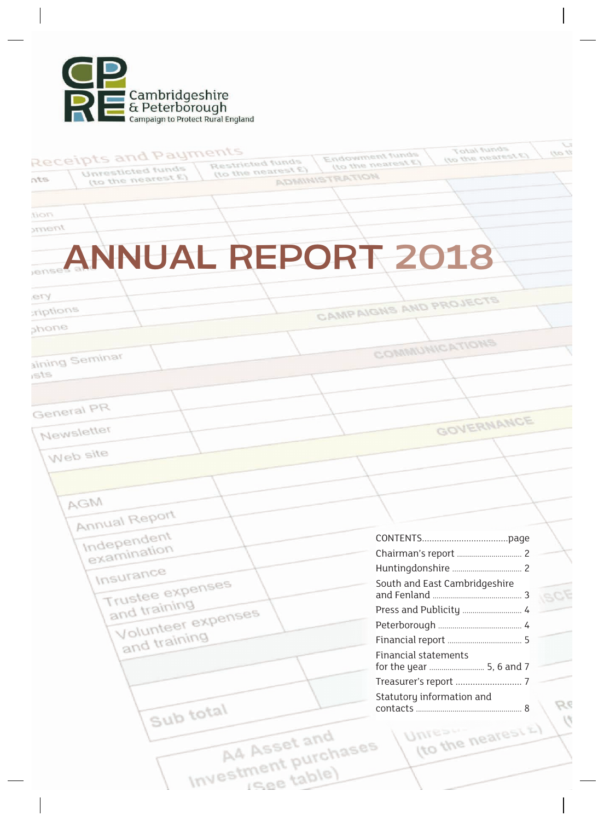

| Receipts and Payments<br>Restricted funds | zbnut latoT<br>130 33<br>Endowment funds<br>(to the nearest E) |
|-------------------------------------------|----------------------------------------------------------------|
| Unresticted funds<br>(to the nearest £)   | (to the nearest E)                                             |
| (to the nearest £)<br>nts                 | HOITARTSININGA                                                 |
|                                           |                                                                |
| non                                       |                                                                |
| Ineric                                    |                                                                |
|                                           |                                                                |
| <b>ANNUAL REPORT 2018</b>                 |                                                                |
| ense                                      |                                                                |
|                                           |                                                                |
| ety                                       | CAMPAIGNS AND PROJECTS                                         |
| anoingh;                                  |                                                                |
| anone                                     |                                                                |
|                                           | COMMUNICATIONS                                                 |
| aining Seminar                            |                                                                |
| ete                                       |                                                                |
|                                           |                                                                |
|                                           |                                                                |
| General PR                                |                                                                |
| Newsletter                                | GOVERNANCE                                                     |
|                                           |                                                                |
| Web site                                  |                                                                |
|                                           |                                                                |
|                                           |                                                                |
| AGM                                       |                                                                |
| Annual Report                             |                                                                |
|                                           |                                                                |
| Independent                               |                                                                |
| examination                               |                                                                |
| Insurance                                 |                                                                |
|                                           | South and East Cambridgeshire                                  |
| Trustee expenses                          | <b>IBCF</b>                                                    |
| and training<br>Volunteer expenses        |                                                                |
|                                           |                                                                |
| and training                              |                                                                |
|                                           | <b>Financial statements</b>                                    |
|                                           |                                                                |
|                                           |                                                                |
|                                           | Statutory information and                                      |
| Sub total                                 |                                                                |
|                                           | <b>Unreson</b>                                                 |
| A4 Asset and<br>Investment purchases      | (to the nearest E)                                             |
|                                           |                                                                |
|                                           |                                                                |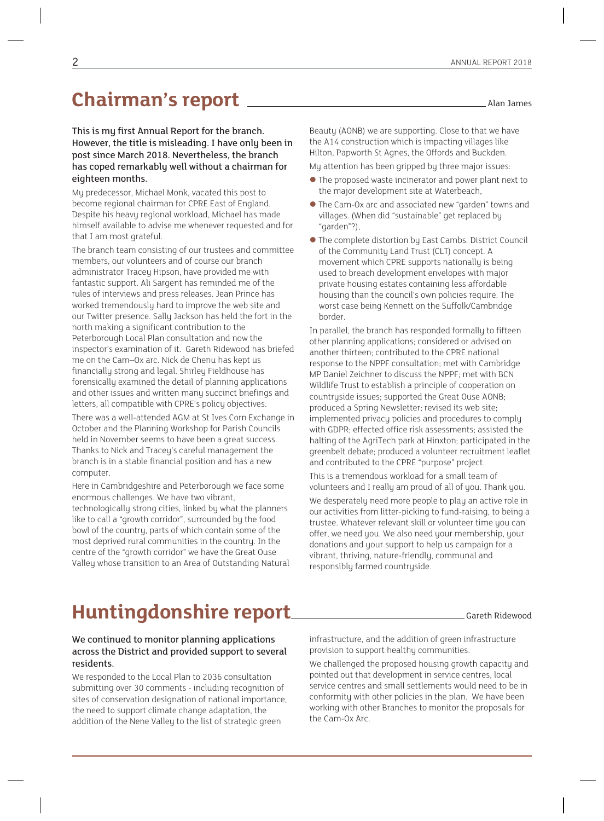# **Chairman's report**

This is my first Annual Report for the branch. However, the title is misleading. I have only been in post since March 2018. Nevertheless, the branch has coped remarkably well without a chairman for eighteen months.

My predecessor, Michael Monk, vacated this post to become regional chairman for CPRE East of England. Despite his heavy regional workload, Michael has made himself available to advise me whenever requested and for that I am most grateful.

The branch team consisting of our trustees and committee members, our volunteers and of course our branch administrator Tracey Hipson, have provided me with fantastic support. Ali Sargent has reminded me of the rules of interviews and press releases. Jean Prince has worked tremendously hard to improve the web site and our Twitter presence. Sally Jackson has held the fort in the north making a significant contribution to the Peterborough Local Plan consultation and now the inspector's examination of it. Gareth Ridewood has briefed me on the Cam–Ox arc. Nick de Chenu has kept us financially strong and legal. Shirley Fieldhouse has forensically examined the detail of planning applications and other issues and written many succinct briefings and letters, all compatible with CPRE's policy objectives.

There was a well-attended AGM at St Ives Corn Exchange in October and the Planning Workshop for Parish Councils held in November seems to have been a great success. Thanks to Nick and Tracey's careful management the branch is in a stable financial position and has a new computer.

Here in Cambridgeshire and Peterborough we face some enormous challenges. We have two vibrant, technologically strong cities, linked by what the planners like to call a "growth corridor", surrounded by the food bowl of the country, parts of which contain some of the most deprived rural communities in the country. In the centre of the "growth corridor" we have the Great Ouse Valley whose transition to an Area of Outstanding Natural Beauty (AONB) we are supporting. Close to that we have the A14 construction which is impacting villages like Hilton, Papworth St Agnes, the Offords and Buckden.

My attention has been gripped by three major issues:

- � The proposed waste incinerator and power plant next to the major development site at Waterbeach,
- � The Cam-Ox arc and associated new "garden" towns and villages. (When did "sustainable" get replaced by "garden"?),
- � The complete distortion by East Cambs. District Council of the Community Land Trust (CLT) concept. A movement which CPRE supports nationally is being used to breach development envelopes with major private housing estates containing less affordable housing than the council's own policies require. The worst case being Kennett on the Suffolk/Cambridge border.

In parallel, the branch has responded formally to fifteen other planning applications; considered or advised on another thirteen; contributed to the CPRE national response to the NPPF consultation; met with Cambridge MP Daniel Zeichner to discuss the NPPF; met with BCN Wildlife Trust to establish a principle of cooperation on countryside issues; supported the Great Ouse AONB; produced a Spring Newsletter; revised its web site; implemented privacy policies and procedures to comply with GDPR; effected office risk assessments; assisted the halting of the AgriTech park at Hinxton; participated in the greenbelt debate; produced a volunteer recruitment leaflet and contributed to the CPRE "purpose" project.

This is a tremendous workload for a small team of volunteers and I really am proud of all of you. Thank you.

We desperately need more people to play an active role in our activities from litter-picking to fund-raising, to being a trustee. Whatever relevant skill or volunteer time you can offer, we need you. We also need your membership, your donations and your support to help us campaign for a vibrant, thriving, nature-friendly, communal and responsibly farmed countryside.

# **Huntingdonshire report**

## We continued to monitor planning applications across the District and provided support to several residents.

We responded to the Local Plan to 2036 consultation submitting over 30 comments - including recognition of sites of conservation designation of national importance, the need to support climate change adaptation, the addition of the Nene Valley to the list of strategic green

infrastructure, and the addition of green infrastructure provision to support healthy communities.

Gareth Ridewood

We challenged the proposed housing growth capacity and pointed out that development in service centres, local service centres and small settlements would need to be in conformity with other policies in the plan. We have been working with other Branches to monitor the proposals for the Cam-Ox Arc.

Alan James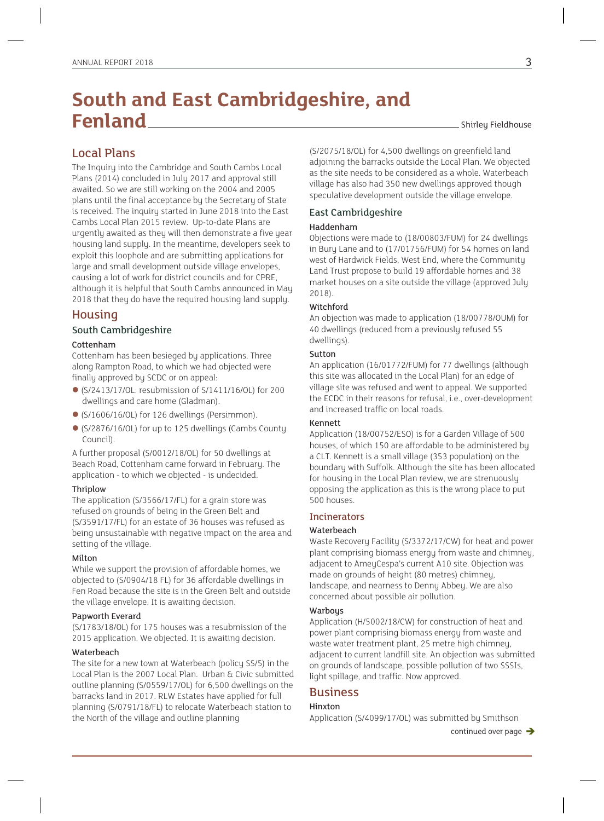# **South and East Cambridgeshire, and Fenland**

Shirley Fieldhouse

## Local Plans

The Inquiry into the Cambridge and South Cambs Local Plans (2014) concluded in July 2017 and approval still awaited. So we are still working on the 2004 and 2005 plans until the final acceptance by the Secretary of State is received. The inquiry started in June 2018 into the East Cambs Local Plan 2015 review. Up-to-date Plans are urgently awaited as they will then demonstrate a five year housing land supply. In the meantime, developers seek to exploit this loophole and are submitting applications for large and small development outside village envelopes, causing a lot of work for district councils and for CPRE, although it is helpful that South Cambs announced in May 2018 that they do have the required housing land supply.

## **Housing**

## South Cambridgeshire

#### Cottenham

Cottenham has been besieged by applications. Three along Rampton Road, to which we had objected were finally approved by SCDC or on appeal:

- � (S/2413/17/OL: resubmission of S/1411/16/OL) for 200 dwellings and care home (Gladman).
- � (S/1606/16/OL) for 126 dwellings (Persimmon).
- � (S/2876/16/OL) for up to 125 dwellings (Cambs County Council).

A further proposal (S/0012/18/OL) for 50 dwellings at Beach Road, Cottenham came forward in February. The application - to which we objected - is undecided.

## Thriplow

The application (S/3566/17/FL) for a grain store was refused on grounds of being in the Green Belt and (S/3591/17/FL) for an estate of 36 houses was refused as being unsustainable with negative impact on the area and setting of the village.

#### Milton

While we support the provision of affordable homes, we objected to (S/0904/18 FL) for 36 affordable dwellings in Fen Road because the site is in the Green Belt and outside the village envelope. It is awaiting decision.

#### Papworth Everard

(S/1783/18/OL) for 175 houses was a resubmission of the 2015 application. We objected. It is awaiting decision.

#### **Waterbeach**

The site for a new town at Waterbeach (policy SS/5) in the Local Plan is the 2007 Local Plan. Urban & Civic submitted outline planning (S/0559/17/OL) for 6,500 dwellings on the barracks land in 2017. RLW Estates have applied for full planning (S/0791/18/FL) to relocate Waterbeach station to the North of the village and outline planning

(S/2075/18/OL) for 4,500 dwellings on greenfield land adjoining the barracks outside the Local Plan. We objected as the site needs to be considered as a whole. Waterbeach village has also had 350 new dwellings approved though speculative development outside the village envelope.

## East Cambridgeshire

#### Haddenham

Objections were made to (18/00803/FUM) for 24 dwellings in Bury Lane and to (17/01756/FUM) for 54 homes on land west of Hardwick Fields, West End, where the Community Land Trust propose to build 19 affordable homes and 38 market houses on a site outside the village (approved July 2018).

#### **Witchford**

An objection was made to application (18/00778/OUM) for 40 dwellings (reduced from a previously refused 55 dwellings).

#### Sutton

An application (16/01772/FUM) for 77 dwellings (although this site was allocated in the Local Plan) for an edge of village site was refused and went to appeal. We supported the ECDC in their reasons for refusal, i.e., over-development and increased traffic on local roads.

#### Kennett

Application (18/00752/ESO) is for a Garden Village of 500 houses, of which 150 are affordable to be administered by a CLT. Kennett is a small village (353 population) on the boundary with Suffolk. Although the site has been allocated for housing in the Local Plan review, we are strenuously opposing the application as this is the wrong place to put 500 houses.

## **Incinerators**

#### Waterbeach

Waste Recovery Facility (S/3372/17/CW) for heat and power plant comprising biomass energy from waste and chimney, adjacent to AmeyCespa's current A10 site. Objection was made on grounds of height (80 metres) chimney, landscape, and nearness to Denny Abbey. We are also concerned about possible air pollution.

## Warboys

Application (H/5002/18/CW) for construction of heat and power plant comprising biomass energy from waste and waste water treatment plant, 25 metre high chimney, adjacent to current landfill site. An objection was submitted on grounds of landscape, possible pollution of two SSSIs, light spillage, and traffic. Now approved.

## **Business**

## Hinxton

Application (S/4099/17/OL) was submitted by Smithson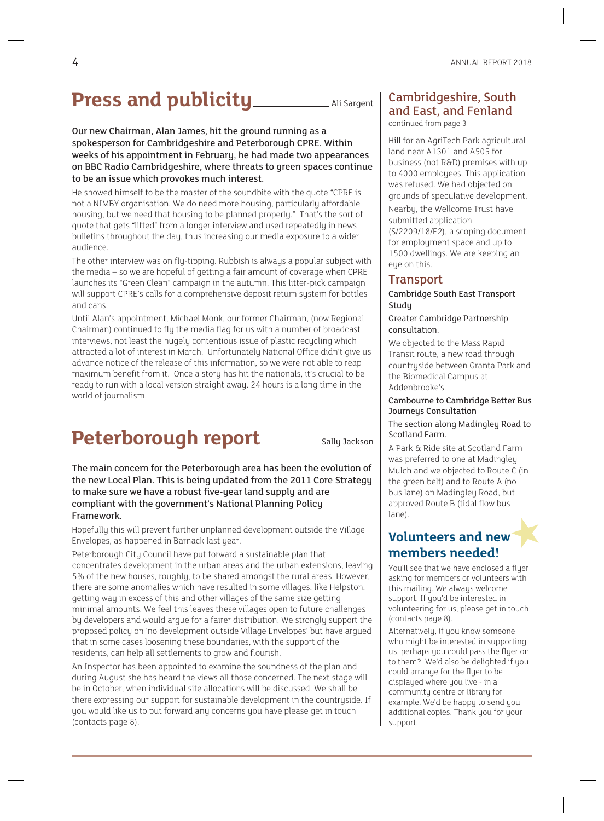# **Press and publicity**

Ali Sargent

Our new Chairman, Alan James, hit the ground running as a spokesperson for Cambridgeshire and Peterborough CPRE. Within weeks of his appointment in February, he had made two appearances on BBC Radio Cambridgeshire, where threats to green spaces continue to be an issue which provokes much interest.

He showed himself to be the master of the soundbite with the quote "CPRE is not a NIMBY organisation. We do need more housing, particularly affordable housing, but we need that housing to be planned properly." That's the sort of quote that gets "lifted" from a longer interview and used repeatedly in news bulletins throughout the day, thus increasing our media exposure to a wider audience.

The other interview was on fly-tipping. Rubbish is always a popular subject with the media – so we are hopeful of getting a fair amount of coverage when CPRE launches its "Green Clean" campaign in the autumn. This litter-pick campaign will support CPRE's calls for a comprehensive deposit return system for bottles and cans.

Until Alan's appointment, Michael Monk, our former Chairman, (now Regional Chairman) continued to fly the media flag for us with a number of broadcast interviews, not least the hugely contentious issue of plastic recycling which attracted a lot of interest in March. Unfortunately National Office didn't give us advance notice of the release of this information, so we were not able to reap maximum benefit from it. Once a story has hit the nationals, it's crucial to be ready to run with a local version straight away. 24 hours is a long time in the world of journalism.

# Peterborough report sally Jackson

The main concern for the Peterborough area has been the evolution of the new Local Plan. This is being updated from the 2011 Core Strategy to make sure we have a robust five-year land supply and are compliant with the government's National Planning Policy Framework.

Hopefully this will prevent further unplanned development outside the Village Envelopes, as happened in Barnack last year.

Peterborough City Council have put forward a sustainable plan that concentrates development in the urban areas and the urban extensions, leaving 5% of the new houses, roughly, to be shared amongst the rural areas. However, there are some anomalies which have resulted in some villages, like Helpston, getting way in excess of this and other villages of the same size getting minimal amounts. We feel this leaves these villages open to future challenges by developers and would argue for a fairer distribution. We strongly support the proposed policy on 'no development outside Village Envelopes' but have argued that in some cases loosening these boundaries, with the support of the residents, can help all settlements to grow and flourish.

An Inspector has been appointed to examine the soundness of the plan and during August she has heard the views all those concerned. The next stage will be in October, when individual site allocations will be discussed. We shall be there expressing our support for sustainable development in the countryside. If you would like us to put forward any concerns you have please get in touch (contacts page 8).

## Cambridgeshire, South and East, and Fenland

continued from page 3

Hill for an AgriTech Park agricultural land near A1301 and A505 for business (not R&D) premises with up to 4000 employees. This application was refused. We had objected on grounds of speculative development.

Nearby, the Wellcome Trust have submitted application (S/2209/18/E2), a scoping document, for employment space and up to 1500 dwellings. We are keeping an eye on this.

## Transport

Cambridge South East Transport **Study** 

Greater Cambridge Partnership consultation.

We objected to the Mass Rapid Transit route, a new road through countryside between Granta Park and the Biomedical Campus at Addenbrooke's.

## Cambourne to Cambridge Better Bus Journeys Consultation

The section along Madingley Road to Scotland Farm.

A Park & Ride site at Scotland Farm was preferred to one at Madingley Mulch and we objected to Route C (in the green belt) and to Route A (no bus lane) on Madingley Road, but approved Route B (tidal flow bus lane).

## **Volunteers and new members needed!**

You'll see that we have enclosed a flyer asking for members or volunteers with this mailing. We always welcome support. If you'd be interested in volunteering for us, please get in touch (contacts page 8).

Alternatively, if you know someone who might be interested in supporting us, perhaps you could pass the flyer on to them? We'd also be delighted if you could arrange for the flyer to be displayed where you live - in a community centre or library for example. We'd be happy to send you additional copies. Thank you for your support.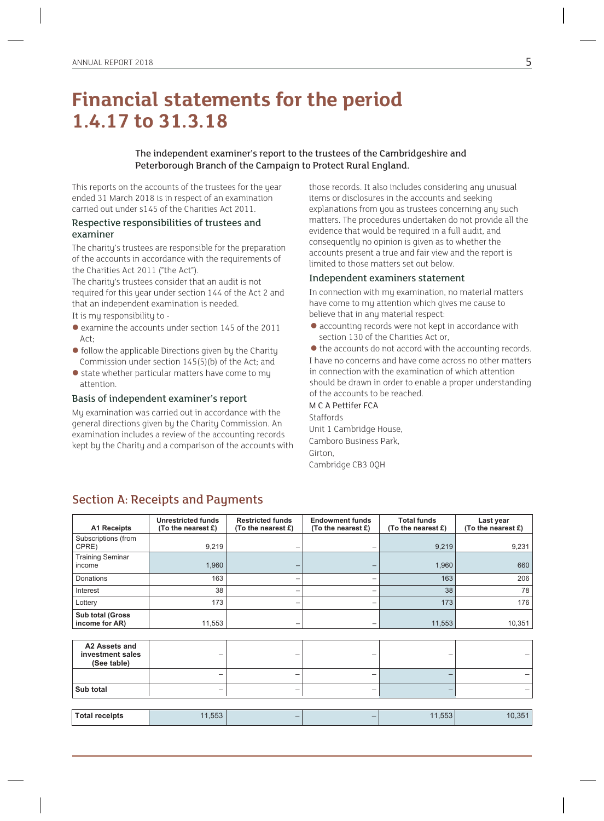# **Financial statements for the period 1.4.17 to 31.3.18**

## The independent examiner's report to the trustees of the Cambridgeshire and Peterborough Branch of the Campaign to Protect Rural England.

This reports on the accounts of the trustees for the year ended 31 March 2018 is in respect of an examination carried out under s145 of the Charities Act 2011.

## Respective responsibilities of trustees and examiner

The charity's trustees are responsible for the preparation of the accounts in accordance with the requirements of the Charities Act 2011 ("the Act").

The charity's trustees consider that an audit is not required for this year under section 144 of the Act 2 and that an independent examination is needed.

It is my responsibility to -

- � examine the accounts under section 145 of the 2011 Act;
- � follow the applicable Directions given by the Charity Commission under section 145(5)(b) of the Act; and
- state whether particular matters have come to my attention.

## Basis of independent examiner's report

My examination was carried out in accordance with the general directions given by the Charity Commission. An examination includes a review of the accounting records kept by the Charity and a comparison of the accounts with

those records. It also includes considering any unusual items or disclosures in the accounts and seeking explanations from you as trustees concerning any such matters. The procedures undertaken do not provide all the evidence that would be required in a full audit, and consequently no opinion is given as to whether the accounts present a true and fair view and the report is limited to those matters set out below.

## Independent examiners statement

In connection with my examination, no material matters have come to my attention which gives me cause to believe that in any material respect:

� accounting records were not kept in accordance with section 130 of the Charities Act or,

� the accounts do not accord with the accounting records. I have no concerns and have come across no other matters in connection with the examination of which attention should be drawn in order to enable a proper understanding of the accounts to be reached.

#### M C A Pettifer FCA

Staffords Unit 1 Cambridge House, Camboro Business Park, Girton, Cambridge CB3 0QH

| <b>A1 Receipts</b>                               | <b>Unrestricted funds</b><br>(To the nearest $E$ ) | <b>Restricted funds</b><br>(To the nearest £) | <b>Endowment funds</b><br>(To the nearest £) | <b>Total funds</b><br>(To the nearest £) | Last year<br>(To the nearest £) |  |  |
|--------------------------------------------------|----------------------------------------------------|-----------------------------------------------|----------------------------------------------|------------------------------------------|---------------------------------|--|--|
| Subscriptions (from<br>CPRE)                     | 9,219                                              | $\qquad \qquad$                               |                                              | 9,219                                    | 9,231                           |  |  |
| <b>Training Seminar</b><br>income                | 1,960                                              | $\qquad \qquad -$                             |                                              | 1,960                                    | 660                             |  |  |
| Donations                                        | 163                                                | $\qquad \qquad$                               |                                              | 163                                      | 206                             |  |  |
| Interest                                         | 38                                                 | $\overline{\phantom{0}}$                      |                                              | 38                                       | 78                              |  |  |
| Lottery                                          | 173                                                |                                               |                                              | 173                                      | 176                             |  |  |
| <b>Sub total (Gross</b><br>income for AR)        | 11,553                                             | $\qquad \qquad -$                             |                                              | 11,553                                   | 10,351                          |  |  |
|                                                  |                                                    |                                               |                                              |                                          |                                 |  |  |
| A2 Assets and<br>investment sales<br>(See table) | -                                                  |                                               |                                              |                                          |                                 |  |  |
|                                                  | -                                                  | -                                             | -                                            |                                          |                                 |  |  |
| Sub total                                        | -                                                  | -                                             | $\overline{\phantom{0}}$                     |                                          |                                 |  |  |
|                                                  |                                                    |                                               |                                              |                                          |                                 |  |  |
| <b>Total receipts</b>                            | 11,553                                             | -                                             |                                              | 11,553                                   | 10,351                          |  |  |

## Section A: Receipts and Payments

5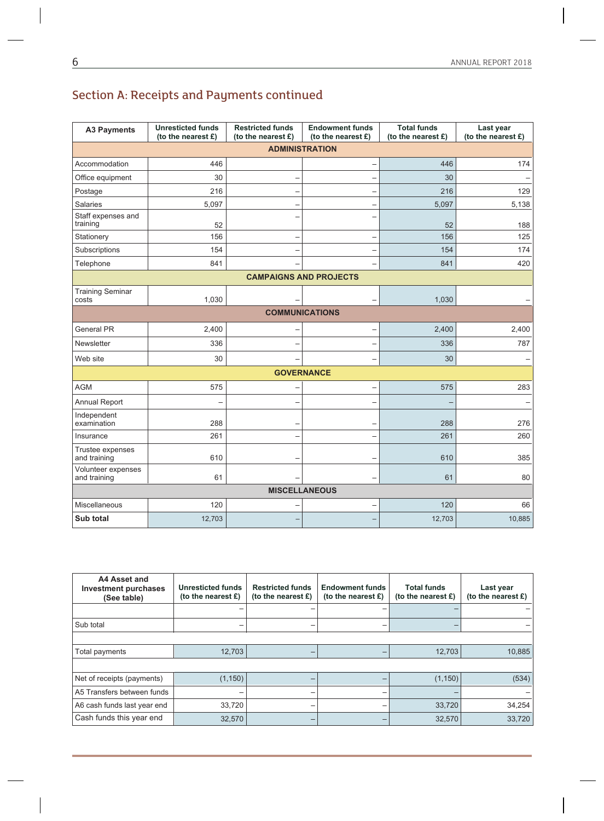## Section A: Receipts and Payments continued

| <b>A3 Payments</b>                 | <b>Unresticted funds</b><br>(to the nearest $E$ ) | <b>Restricted funds</b><br>(to the nearest $E$ ) | <b>Endowment funds</b><br>(to the nearest $E$ ) | <b>Total funds</b><br>(to the nearest $E$ ) | Last year<br>(to the nearest £) |  |  |
|------------------------------------|---------------------------------------------------|--------------------------------------------------|-------------------------------------------------|---------------------------------------------|---------------------------------|--|--|
| <b>ADMINISTRATION</b>              |                                                   |                                                  |                                                 |                                             |                                 |  |  |
| Accommodation                      | 446                                               |                                                  |                                                 | 446                                         | 174                             |  |  |
| Office equipment                   | 30                                                |                                                  |                                                 | 30                                          |                                 |  |  |
| Postage                            | 216                                               |                                                  |                                                 | 216                                         | 129                             |  |  |
| Salaries                           | 5,097                                             | -                                                |                                                 | 5,097                                       | 5,138                           |  |  |
| Staff expenses and<br>training     | 52                                                |                                                  |                                                 | 52                                          | 188                             |  |  |
| Stationery                         | 156                                               | —                                                |                                                 | 156                                         | 125                             |  |  |
| Subscriptions                      | 154                                               |                                                  |                                                 | 154                                         | 174                             |  |  |
| Telephone                          | 841                                               |                                                  |                                                 | 841                                         | 420                             |  |  |
|                                    |                                                   |                                                  | <b>CAMPAIGNS AND PROJECTS</b>                   |                                             |                                 |  |  |
| <b>Training Seminar</b><br>costs   | 1,030                                             |                                                  |                                                 | 1,030                                       |                                 |  |  |
|                                    |                                                   |                                                  | <b>COMMUNICATIONS</b>                           |                                             |                                 |  |  |
| General PR                         | 2,400                                             |                                                  | -                                               | 2,400                                       | 2,400                           |  |  |
| Newsletter                         | 336                                               |                                                  |                                                 | 336                                         | 787                             |  |  |
| Web site                           | 30                                                |                                                  |                                                 | 30                                          |                                 |  |  |
|                                    |                                                   |                                                  | <b>GOVERNANCE</b>                               |                                             |                                 |  |  |
| <b>AGM</b>                         | 575                                               |                                                  |                                                 | 575                                         | 283                             |  |  |
| Annual Report                      |                                                   |                                                  |                                                 |                                             |                                 |  |  |
| Independent<br>examination         | 288                                               |                                                  |                                                 | 288                                         | 276                             |  |  |
| Insurance                          | 261                                               | L.                                               |                                                 | 261                                         | 260                             |  |  |
| Trustee expenses<br>and training   | 610                                               |                                                  |                                                 | 610                                         | 385                             |  |  |
| Volunteer expenses<br>and training | 61                                                |                                                  |                                                 | 61                                          | 80                              |  |  |
|                                    | <b>MISCELLANEOUS</b>                              |                                                  |                                                 |                                             |                                 |  |  |
| Miscellaneous                      | 120                                               |                                                  |                                                 | 120                                         | 66                              |  |  |
| Sub total                          | 12,703                                            |                                                  |                                                 | 12,703                                      | 10,885                          |  |  |

| A4 Asset and<br><b>Investment purchases</b><br>(See table) | <b>Unresticted funds</b><br>(to the nearest $E$ ) | <b>Restricted funds</b><br>(to the nearest $E$ ) | <b>Endowment funds</b><br>(to the nearest $E$ ) | <b>Total funds</b><br>(to the nearest $E$ ) | Last year<br>(to the nearest $E$ ) |
|------------------------------------------------------------|---------------------------------------------------|--------------------------------------------------|-------------------------------------------------|---------------------------------------------|------------------------------------|
|                                                            |                                                   |                                                  |                                                 |                                             |                                    |
| Sub total                                                  | -                                                 |                                                  | -                                               |                                             |                                    |
|                                                            |                                                   |                                                  |                                                 |                                             |                                    |
| Total payments                                             | 12,703                                            |                                                  |                                                 | 12,703                                      | 10,885                             |
|                                                            |                                                   |                                                  |                                                 |                                             |                                    |
| Net of receipts (payments)                                 | (1, 150)                                          |                                                  |                                                 | (1, 150)                                    | (534)                              |
| A5 Transfers between funds                                 | -                                                 |                                                  | -                                               |                                             |                                    |
| A6 cash funds last year end                                | 33,720                                            |                                                  | -                                               | 33,720                                      | 34,254                             |
| Cash funds this year end                                   | 32,570                                            |                                                  |                                                 | 32,570                                      | 33,720                             |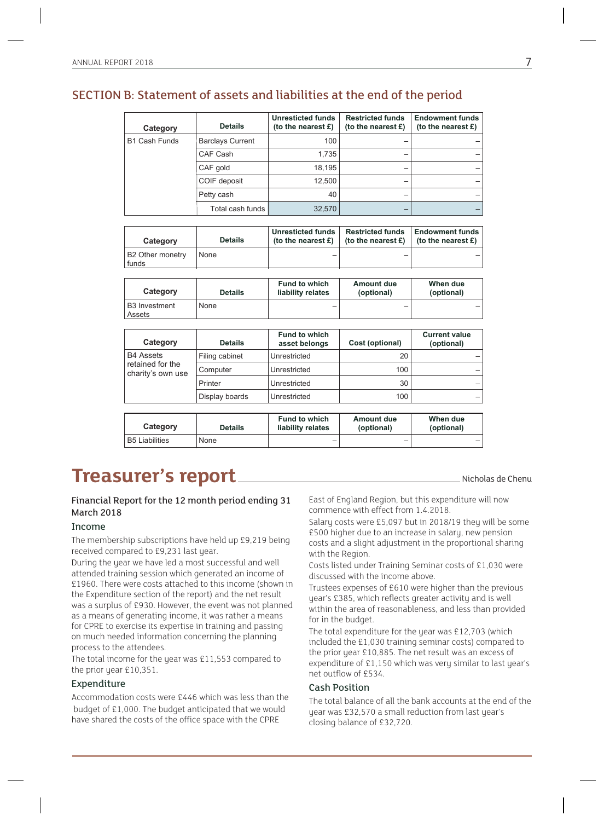| Category             | <b>Details</b>          | <b>Unresticted funds</b><br>(to the nearest $E$ ) | <b>Restricted funds</b><br>(to the nearest $E$ ) | <b>Endowment funds</b><br>(to the nearest $E$ ) |
|----------------------|-------------------------|---------------------------------------------------|--------------------------------------------------|-------------------------------------------------|
| <b>B1 Cash Funds</b> | <b>Barclays Current</b> | 100                                               |                                                  |                                                 |
|                      | CAF Cash                | 1,735                                             |                                                  |                                                 |
|                      | CAF gold                | 18,195                                            |                                                  |                                                 |
|                      | COIF deposit            | 12,500                                            |                                                  |                                                 |
|                      | Petty cash              | 40                                                |                                                  |                                                 |
|                      | Total cash funds        | 32,570                                            |                                                  |                                                 |

## SECTION B: Statement of assets and liabilities at the end of the period

| <b>Category</b>           | <b>Details</b> | Unresticted funds<br>(to the nearest $E$ ) | <b>Restricted funds</b><br>(to the nearest $\mathbf{E}$ ) | Endowment funds<br>(to the nearest $E$ ) |
|---------------------------|----------------|--------------------------------------------|-----------------------------------------------------------|------------------------------------------|
| B2 Other monetry<br>funds | None           | -                                          |                                                           |                                          |

| Category                  | <b>Details</b> | <b>Fund to which</b><br>liability relates | Amount due<br>(optional) | When due<br>(optional) |
|---------------------------|----------------|-------------------------------------------|--------------------------|------------------------|
| l B3 Investment<br>Assets | None           | $\overline{\phantom{a}}$                  |                          |                        |

| Category                                                  | <b>Details</b> | <b>Fund to which</b><br>asset belongs     | Cost (optional)                 | <b>Current value</b><br>(optional) |
|-----------------------------------------------------------|----------------|-------------------------------------------|---------------------------------|------------------------------------|
| <b>B4 Assets</b><br>retained for the<br>charity's own use | Filing cabinet | Unrestricted                              | 20                              |                                    |
|                                                           | Computer       | Unrestricted                              | 100                             |                                    |
|                                                           | Printer        | Unrestricted                              | 30                              |                                    |
|                                                           | Display boards | Unrestricted                              | 100                             |                                    |
|                                                           |                |                                           |                                 |                                    |
| Category                                                  | <b>Details</b> | <b>Fund to which</b><br>liability relates | <b>Amount due</b><br>(optional) | When due<br>(optional)             |
| <b>B5 Liabilities</b>                                     | None           |                                           |                                 |                                    |

# **Treasurer's report**

## Financial Report for the 12 month period ending 31 March 2018

#### Income

The membership subscriptions have held up £9,219 being received compared to £9,231 last year.

During the year we have led a most successful and well attended training session which generated an income of £1960. There were costs attached to this income (shown in the Expenditure section of the report) and the net result was a surplus of £930. However, the event was not planned as a means of generating income, it was rather a means for CPRE to exercise its expertise in training and passing on much needed information concerning the planning process to the attendees.

The total income for the year was £11,553 compared to the prior year £10,351.

## Expenditure

Accommodation costs were £446 which was less than the budget of £1,000. The budget anticipated that we would have shared the costs of the office space with the CPRE

East of England Region, but this expenditure will now commence with effect from 1.4.2018.

Salary costs were £5,097 but in 2018/19 they will be some £500 higher due to an increase in salary, new pension costs and a slight adjustment in the proportional sharing with the Region.

Nicholas de Chenu

Costs listed under Training Seminar costs of £1,030 were discussed with the income above.

Trustees expenses of £610 were higher than the previous year's £385, which reflects greater activity and is well within the area of reasonableness, and less than provided for in the budget.

The total expenditure for the year was £12,703 (which included the £1,030 training seminar costs) compared to the prior year £10,885. The net result was an excess of expenditure of £1,150 which was very similar to last year's net outflow of £534.

## Cash Position

The total balance of all the bank accounts at the end of the year was £32,570 a small reduction from last year's closing balance of £32,720.